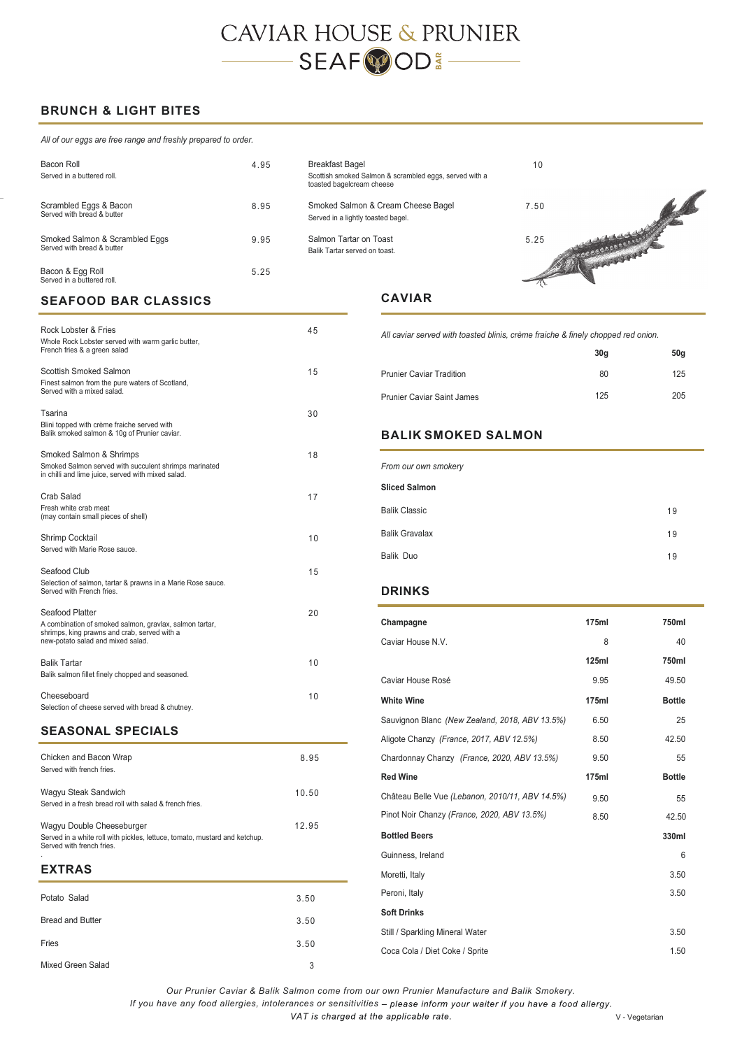## CAVIAR HOUSE & PRUNIER SEAF@OD

## **BRUNCH & LIGHT BITES**

| All of our eggs are free range and freshly prepared to order. |      |                                                                                                                 |      |                     |
|---------------------------------------------------------------|------|-----------------------------------------------------------------------------------------------------------------|------|---------------------|
| Bacon Roll<br>Served in a buttered roll.                      | 4.95 | <b>Breakfast Bagel</b><br>Scottish smoked Salmon & scrambled eggs, served with a<br>toasted bageIDGcream cheese | 10   |                     |
| Scrambled Eggs & Bacon<br>Served with bread & butter          | 8.95 | Smoked Salmon & Cream Cheese Bagel<br>Served in a lightly toasted bagel.                                        | 7.50 |                     |
| Smoked Salmon & Scrambled Eggs<br>Served with bread & butter  | 9.95 | Salmon Tartar on Toast<br>Balik Tartar served on toast.                                                         | 5.25 | Alle Cococococococo |
| Bacon & Egg Roll<br>Served in a buttered roll.                | 5.25 |                                                                                                                 |      |                     |
| SEAFOOD RAR CLASSICS                                          |      | <b>CAVIAR</b>                                                                                                   |      |                     |

## **SEAFOOD BAR CLASSICS**

| Rock Lobster & Fries<br>Whole Rock Lobster served with warm garlic butter,<br>French fries & a green salad                                                      | 45 |
|-----------------------------------------------------------------------------------------------------------------------------------------------------------------|----|
| Scottish Smoked Salmon<br>Finest salmon from the pure waters of Scotland,<br>Served with a mixed salad.                                                         | 15 |
| Tsarina<br>Blini topped with crème fraiche served with<br>Balik smoked salmon & 10g of Prunier caviar.                                                          | 30 |
| Smoked Salmon & Shrimps<br>Smoked Salmon served with succulent shrimps marinated<br>in chilli and lime juice, served with mixed salad.                          | 18 |
| Crab Salad<br>Fresh white crab meat<br>(may contain small pieces of shell)                                                                                      | 17 |
| Shrimp Cocktail<br>Served with Marie Rose sauce.                                                                                                                | 10 |
| Seafood Club<br>Selection of salmon, tartar & prawns in a Marie Rose sauce.<br>Served with French fries.                                                        | 15 |
| Seafood Platter<br>A combination of smoked salmon, gravlax, salmon tartar,<br>shrimps, king prawns and crab, served with a<br>new-potato salad and mixed salad. | 20 |
| <b>Balik Tartar</b><br>Balik salmon fillet finely chopped and seasoned.                                                                                         | 10 |
| Cheeseboard<br>Selection of cheese served with bread & chutney.                                                                                                 | 10 |

## **SEASONAL SPECIALS**

| Potato Salad                                                                                                                         | 2 E N |  |
|--------------------------------------------------------------------------------------------------------------------------------------|-------|--|
| <b>EXTRAS</b>                                                                                                                        |       |  |
| Wagyu Double Cheeseburger<br>Served in a white roll with pickles, lettuce, tomato, mustard and ketchup.<br>Served with french fries. | 12.95 |  |
| Wagyu Steak Sandwich<br>Served in a fresh bread roll with salad & french fries.                                                      | 10.50 |  |
| Chicken and Bacon Wrap<br>Served with french fries.                                                                                  | 8.95  |  |

| Potato Salad            | 3.50 |
|-------------------------|------|
| <b>Bread and Butter</b> | 3.50 |
| Fries                   | 3.50 |
| Mixed Green Salad       | 3    |

*All caviar served with toasted blinis, crème fraiche & finely chopped red onion.*

|                                   | 30a | 50q |
|-----------------------------------|-----|-----|
| <b>Prunier Caviar Tradition</b>   | 80  | 125 |
| <b>Prunier Caviar Saint James</b> | 125 | 205 |

## **BALIK SMOKED SALMON**

| From our own smokery  |    |
|-----------------------|----|
| <b>Sliced Salmon</b>  |    |
| <b>Balik Classic</b>  | 19 |
| <b>Balik Gravalax</b> | 19 |
| Balik Duo             | 19 |

### **DRINKS**

| Champagne                                       | 175ml | 750ml         |
|-------------------------------------------------|-------|---------------|
| Caviar House N.V.                               | 8     | 40            |
|                                                 | 125ml | 750ml         |
| Caviar House Rosé                               | 9.95  | 49.50         |
| <b>White Wine</b>                               | 175ml | <b>Bottle</b> |
| Sauvignon Blanc (New Zealand, 2018, ABV 13.5%)  | 6.50  | 25            |
| Aligote Chanzy (France, 2017, ABV 12.5%)        | 8.50  | 42.50         |
| Chardonnay Chanzy (France, 2020, ABV 13.5%)     | 9.50  | 55            |
| <b>Red Wine</b>                                 | 175ml | <b>Bottle</b> |
| Château Belle Vue (Lebanon, 2010/11, ABV 14.5%) | 9.50  | 55            |
| Pinot Noir Chanzy (France, 2020, ABV 13.5%)     | 8.50  | 42.50         |
| <b>Bottled Beers</b>                            |       | 330ml         |
| Guinness, Ireland                               |       | 6             |
| Moretti, Italy                                  |       | 3.50          |
| Peroni, Italy                                   |       | 3.50          |
| <b>Soft Drinks</b>                              |       |               |
| Still / Sparkling Mineral Water                 |       | 3.50          |
| Coca Cola / Diet Coke / Sprite                  |       | 1.50          |

*Our Prunier Caviar & Balik Salmon come from our own Prunier Manufacture and Balik Smokery.*

*If you have any food allergies, intolerances or sensitivities – please inform your waiter if you have a food allergy.*<br>VAT is charged at the applicable rate.